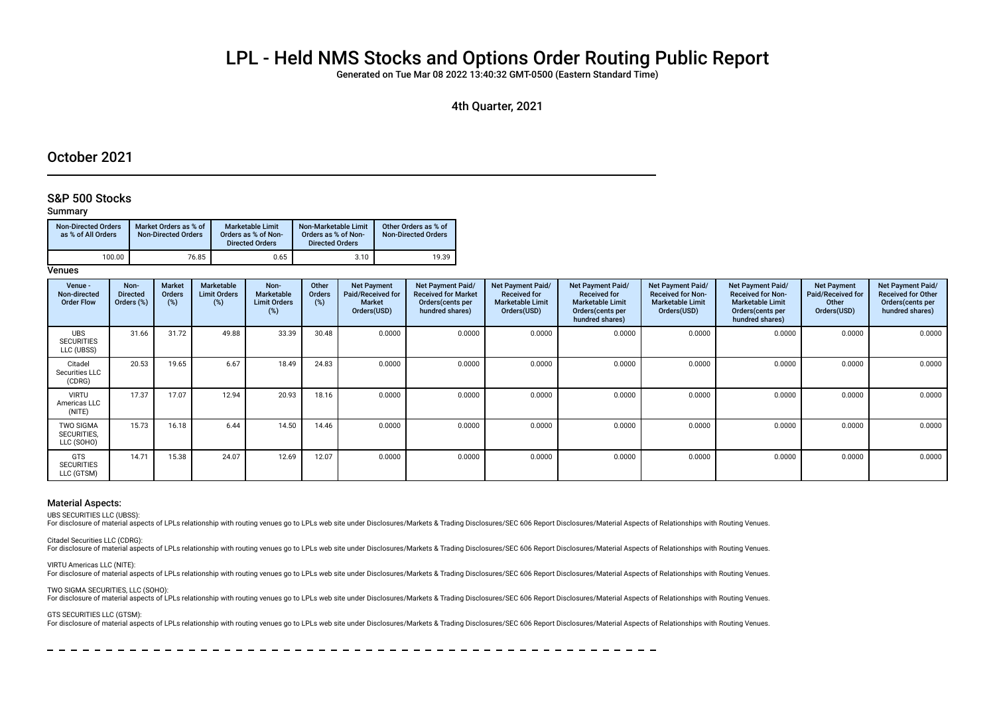# LPL - Held NMS Stocks and Options Order Routing Public Report

Generated on Tue Mar 08 2022 13:40:32 GMT-0500 (Eastern Standard Time)

4th Quarter, 2021

# October 2021

## S&P 500 Stocks

### Summary

| <b>Non-Directed Orders</b><br>as % of All Orders | Market Orders as % of<br><b>Non-Directed Orders</b> | Marketable Limit<br>Orders as % of Non-<br><b>Directed Orders</b> | Non-Marketable Limit<br>Orders as % of Non-<br><b>Directed Orders</b> | Other Orders as % of<br><b>Non-Directed Orders</b> |
|--------------------------------------------------|-----------------------------------------------------|-------------------------------------------------------------------|-----------------------------------------------------------------------|----------------------------------------------------|
| 100.00                                           | 76.85                                               | 0.65                                                              | 3.10                                                                  | 19.39                                              |

**Venues** 

| Venue -<br>Non-directed<br><b>Order Flow</b>  | Non-<br><b>Directed</b><br>Orders (%) | <b>Market</b><br><b>Orders</b><br>(%) | Marketable<br><b>Limit Orders</b><br>$(\%)$ | Non-<br>Marketable<br><b>Limit Orders</b><br>(%) | Other<br>Orders<br>(%) | <b>Net Payment</b><br><b>Paid/Received for</b><br><b>Market</b><br>Orders(USD) | Net Payment Paid/<br><b>Received for Market</b><br>Orders (cents per<br>hundred shares) | Net Payment Paid/<br><b>Received for</b><br><b>Marketable Limit</b><br>Orders(USD) | Net Payment Paid/<br><b>Received for</b><br><b>Marketable Limit</b><br>Orders (cents per<br>hundred shares) | <b>Net Payment Paid/</b><br><b>Received for Non-</b><br><b>Marketable Limit</b><br>Orders(USD) | Net Payment Paid/<br><b>Received for Non-</b><br><b>Marketable Limit</b><br>Orders (cents per<br>hundred shares) | <b>Net Payment</b><br><b>Paid/Received for</b><br>Other<br>Orders(USD) | Net Payment Paid/<br><b>Received for Other</b><br>Orders (cents per<br>hundred shares) |
|-----------------------------------------------|---------------------------------------|---------------------------------------|---------------------------------------------|--------------------------------------------------|------------------------|--------------------------------------------------------------------------------|-----------------------------------------------------------------------------------------|------------------------------------------------------------------------------------|-------------------------------------------------------------------------------------------------------------|------------------------------------------------------------------------------------------------|------------------------------------------------------------------------------------------------------------------|------------------------------------------------------------------------|----------------------------------------------------------------------------------------|
| <b>UBS</b><br><b>SECURITIES</b><br>LLC (UBSS) | 31.66                                 | 31.72                                 | 49.88                                       | 33.39                                            | 30.48                  | 0.0000                                                                         | 0.0000                                                                                  | 0.0000                                                                             | 0.0000                                                                                                      | 0.0000                                                                                         | 0.0000                                                                                                           | 0.0000                                                                 | 0.0000                                                                                 |
| Citadel<br>Securities LLC<br>(CDRG)           | 20.53                                 | 19.65                                 | 6.67                                        | 18.49                                            | 24.83                  | 0.0000                                                                         | 0.0000                                                                                  | 0.0000                                                                             | 0.0000                                                                                                      | 0.0000                                                                                         | 0.0000                                                                                                           | 0.0000                                                                 | 0.0000                                                                                 |
| <b>VIRTU</b><br>Americas LLC<br>(NITE)        | 17.37                                 | 17.07                                 | 12.94                                       | 20.93                                            | 18.16                  | 0.0000                                                                         | 0.0000                                                                                  | 0.0000                                                                             | 0.0000                                                                                                      | 0.0000                                                                                         | 0.0000                                                                                                           | 0.0000                                                                 | 0.0000                                                                                 |
| <b>TWO SIGMA</b><br>SECURITIES.<br>LLC (SOHO) | 15.73                                 | 16.18                                 | 6.44                                        | 14.50                                            | 14.46                  | 0.0000                                                                         | 0.0000                                                                                  | 0.0000                                                                             | 0.0000                                                                                                      | 0.0000                                                                                         | 0.0000                                                                                                           | 0.0000                                                                 | 0.0000                                                                                 |
| GTS<br><b>SECURITIES</b><br>LLC (GTSM)        | 14.71                                 | 15.38                                 | 24.07                                       | 12.69                                            | 12.07                  | 0.0000                                                                         | 0.0000                                                                                  | 0.0000                                                                             | 0.0000                                                                                                      | 0.0000                                                                                         | 0.0000                                                                                                           | 0.0000                                                                 | 0.0000                                                                                 |

## Material Aspects:

UBS SECURITIES LLC (UBSS):

For disclosure of material aspects of LPLs relationship with routing venues go to LPLs web site under Disclosures/Markets & Trading Disclosures/SEC 606 Report Disclosures/Material Aspects of Relationships with Routing Venu

Citadel Securities LLC (CDRG):

For disclosure of material aspects of LPLs relationship with routing venues go to LPLs web site under Disclosures/Markets & Trading Disclosures/SEC 606 Report Disclosures/Material Aspects of Relationships with Routing Venu

VIRTU Americas LLC (NITE):

For disclosure of material aspects of LPLs relationship with routing venues go to LPLs web site under Disclosures/Markets & Trading Disclosures/SEC 606 Report Disclosures/Material Aspects of Relationships with Routing Venu

TWO SIGMA SECURITIES, LLC (SOHO):

For disclosure of material aspects of LPLs relationship with routing venues go to LPLs web site under Disclosures/Markets & Trading Disclosures/SEC 606 Report Disclosures/Material Aspects of Relationships with Routing Venu

GTS SECURITIES LLC (GTSM):

For disclosure of material aspects of LPLs relationship with routing venues go to LPLs web site under Disclosures/Markets & Trading Disclosures/SEC 606 Report Disclosures/Material Aspects of Relationships with Routing Venu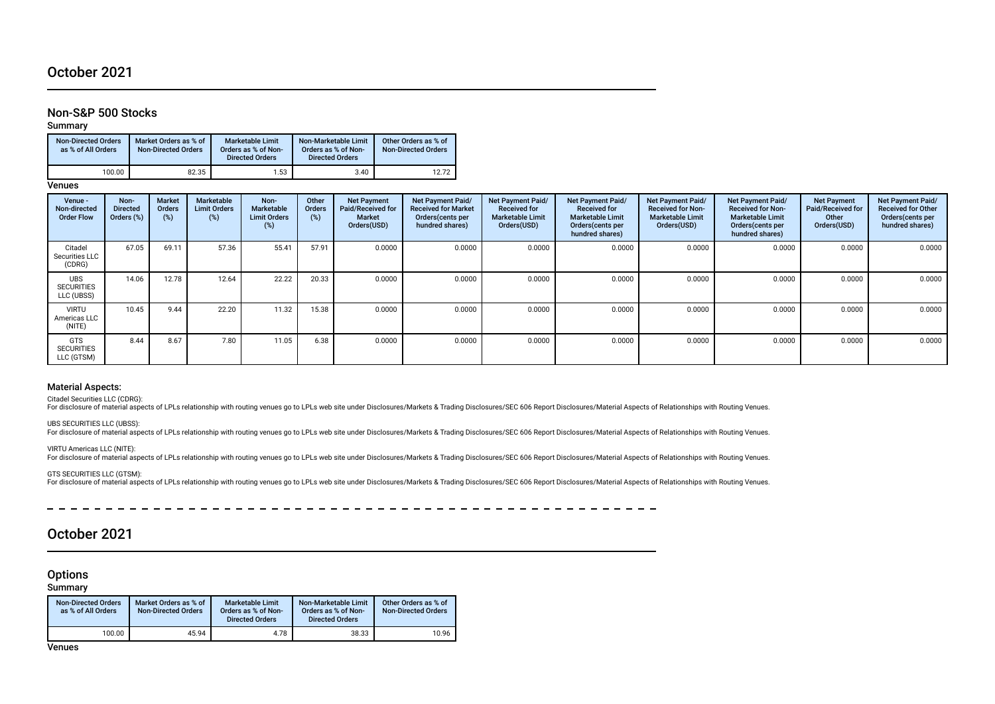# October 2021

# Non-S&P 500 Stocks

Summary

| <b>Non-Directed Orders</b><br>as % of All Orders | Market Orders as % of<br><b>Non-Directed Orders</b> | <b>Marketable Limit</b><br>Orders as % of Non-<br><b>Directed Orders</b> | Non-Marketable Limit<br>Orders as % of Non-<br><b>Directed Orders</b> | Other Orders as % of<br><b>Non-Directed Orders</b> |
|--------------------------------------------------|-----------------------------------------------------|--------------------------------------------------------------------------|-----------------------------------------------------------------------|----------------------------------------------------|
| 100.00                                           | 82.35                                               | 1.53                                                                     | 3.40                                                                  | 12.72                                              |

**Venues** 

| Venue -<br>Non-directed<br><b>Order Flow</b>  | Non-<br><b>Directed</b><br>Orders (%) | <b>Market</b><br><b>Orders</b><br>$(\%)$ | Marketable<br><b>Limit Orders</b><br>(%) | Non-<br><b>Marketable</b><br><b>Limit Orders</b><br>(%) | Other<br><b>Orders</b><br>(%) | <b>Net Payment</b><br>Paid/Received for<br>Market<br>Orders(USD) | Net Payment Paid/<br><b>Received for Market</b><br>Orders (cents per<br>hundred shares) | Net Payment Paid/<br><b>Received for</b><br><b>Marketable Limit</b><br>Orders(USD) | <b>Net Payment Paid/</b><br><b>Received for</b><br><b>Marketable Limit</b><br>Orders (cents per<br>hundred shares) | Net Payment Paid/<br><b>Received for Non-</b><br><b>Marketable Limit</b><br>Orders(USD) | Net Payment Paid/<br><b>Received for Non-</b><br><b>Marketable Limit</b><br>Orders (cents per<br>hundred shares) | <b>Net Payment</b><br>Paid/Received for<br>Other<br>Orders(USD) | Net Payment Paid/<br><b>Received for Other</b><br>Orders (cents per<br>hundred shares) |
|-----------------------------------------------|---------------------------------------|------------------------------------------|------------------------------------------|---------------------------------------------------------|-------------------------------|------------------------------------------------------------------|-----------------------------------------------------------------------------------------|------------------------------------------------------------------------------------|--------------------------------------------------------------------------------------------------------------------|-----------------------------------------------------------------------------------------|------------------------------------------------------------------------------------------------------------------|-----------------------------------------------------------------|----------------------------------------------------------------------------------------|
| Citadel<br>Securities LLC<br>(CDRG)           | 67.05                                 | 69.11                                    | 57.36                                    | 55.41                                                   | 57.91                         | 0.0000                                                           | 0.0000                                                                                  | 0.0000                                                                             | 0.0000                                                                                                             | 0.0000                                                                                  | 0.0000                                                                                                           | 0.0000                                                          | 0.0000                                                                                 |
| <b>UBS</b><br><b>SECURITIES</b><br>LLC (UBSS) | 14.06                                 | 12.78                                    | 12.64                                    | 22.22                                                   | 20.33                         | 0.0000                                                           | 0.0000                                                                                  | 0.0000                                                                             | 0.0000                                                                                                             | 0.0000                                                                                  | 0.0000                                                                                                           | 0.0000                                                          | 0.0000                                                                                 |
| <b>VIRTU</b><br>Americas LLC<br>(NITE)        | 10.45                                 | 9.44                                     | 22.20                                    | 11.32                                                   | 15.38                         | 0.0000                                                           | 0.0000                                                                                  | 0.0000                                                                             | 0.0000                                                                                                             | 0.0000                                                                                  | 0.0000                                                                                                           | 0.0000                                                          | 0.0000                                                                                 |
| <b>GTS</b><br><b>SECURITIES</b><br>LLC (GTSM) | 8.44                                  | 8.67                                     | 7.80                                     | 11.05                                                   | 6.38                          | 0.0000                                                           | 0.0000                                                                                  | 0.0000                                                                             | 0.0000                                                                                                             | 0.0000                                                                                  | 0.0000                                                                                                           | 0.0000                                                          | 0.0000                                                                                 |

### Material Aspects:

Citadel Securities LLC (CDRG):

For disclosure of material aspects of LPLs relationship with routing venues go to LPLs web site under Disclosures/Markets & Trading Disclosures/SEC 606 Report Disclosures/Material Aspects of Relationships with Routing Venu

UBS SECURITIES LLC (UBSS):

For disclosure of material aspects of LPLs relationship with routing venues go to LPLs web site under Disclosures/Markets & Trading Disclosures/SEC 606 Report Disclosures/Material Aspects of Relationships with Routing Venu

VIRTU Americas LLC (NITE):

For disclosure of material aspects of LPLs relationship with routing venues go to LPLs web site under Disclosures/Markets & Trading Disclosures/SEC 606 Report Disclosures/Material Aspects of Relationships with Routing Venu

GTS SECURITIES LLC (GTSM):

For disclosure of material aspects of LPLs relationship with routing venues go to LPLs web site under Disclosures/Markets & Trading Disclosures/SEC 606 Report Disclosures/Material Aspects of Relationships with Routing Venu

# October 2021

**Options** 

Summary

| <b>Non-Directed Orders</b><br>as % of All Orders | Market Orders as % of<br><b>Non-Directed Orders</b> | <b>Marketable Limit</b><br>Orders as % of Non-<br><b>Directed Orders</b> | Non-Marketable Limit<br>Orders as % of Non-<br><b>Directed Orders</b> | Other Orders as % of<br><b>Non-Directed Orders</b> |
|--------------------------------------------------|-----------------------------------------------------|--------------------------------------------------------------------------|-----------------------------------------------------------------------|----------------------------------------------------|
| 100.00                                           | 45.94                                               | 4.78                                                                     | 38.33                                                                 | 10.96                                              |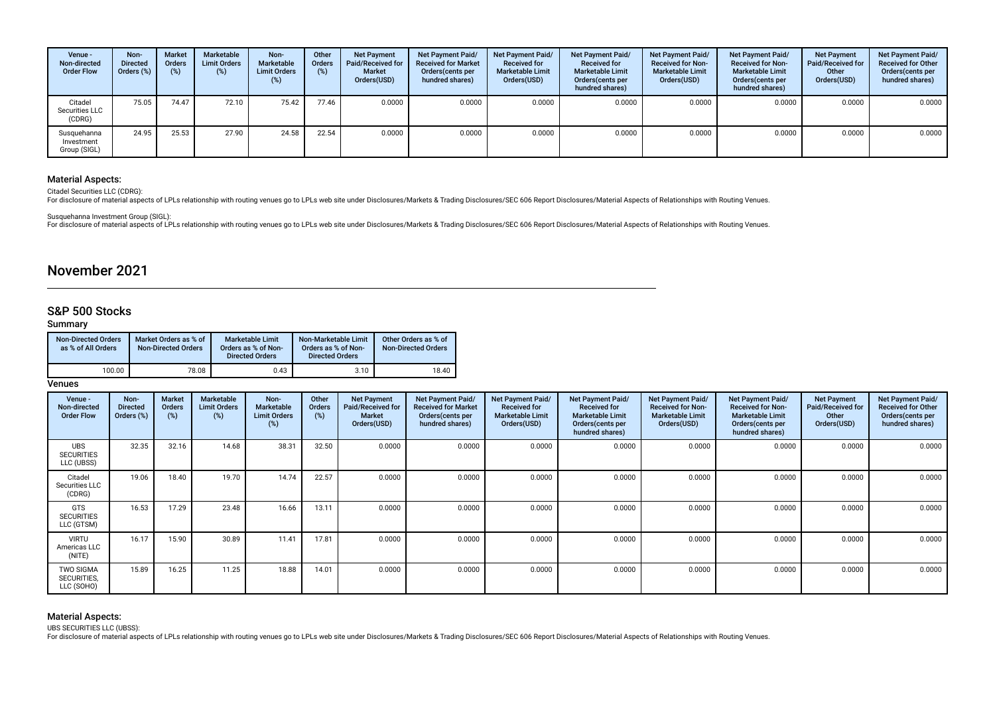| Venue -<br>Non-directed<br><b>Order Flow</b> | Non-<br><b>Directed</b><br>Orders (%) | <b>Market</b><br>Orders<br>(%) | Marketable<br><b>Limit Orders</b><br>(%) | Non-<br>Marketable<br><b>Limit Orders</b><br>(%) | Other<br><b>Orders</b><br>$(\%)$ | <b>Net Payment</b><br><b>Paid/Received for</b><br>Market<br>Orders(USD) | Net Payment Paid/<br><b>Received for Market</b><br>Orders (cents per<br>hundred shares) | Net Payment Paid/<br><b>Received for</b><br><b>Marketable Limit</b><br>Orders(USD) | <b>Net Payment Paid/</b><br><b>Received for</b><br><b>Marketable Limit</b><br>Orders (cents per<br>hundred shares) | <b>Net Payment Paid/</b><br><b>Received for Non-</b><br><b>Marketable Limit</b><br>Orders(USD) | Net Payment Paid/<br><b>Received for Non-</b><br><b>Marketable Limit</b><br>Orders (cents per<br>hundred shares) | <b>Net Payment</b><br><b>Paid/Received for</b><br>Other<br>Orders(USD) | Net Payment Paid/<br><b>Received for Other</b><br>Orders (cents per<br>hundred shares) |
|----------------------------------------------|---------------------------------------|--------------------------------|------------------------------------------|--------------------------------------------------|----------------------------------|-------------------------------------------------------------------------|-----------------------------------------------------------------------------------------|------------------------------------------------------------------------------------|--------------------------------------------------------------------------------------------------------------------|------------------------------------------------------------------------------------------------|------------------------------------------------------------------------------------------------------------------|------------------------------------------------------------------------|----------------------------------------------------------------------------------------|
| Citadel<br>Securities LLC<br>(CDRG)          | 75.05                                 | 74.47                          | 72.10                                    | 75.42                                            | 77.46                            | 0.0000                                                                  | 0.0000                                                                                  | 0.0000                                                                             | 0.0000                                                                                                             | 0.0000                                                                                         | 0.0000                                                                                                           | 0.0000                                                                 | 0.0000                                                                                 |
| Susquehanna<br>Investment<br>Group (SIGL)    | 24.95                                 | 25.53                          | 27.90                                    | 24.58                                            | 22.54                            | 0.0000                                                                  | 0.0000                                                                                  | 0.0000                                                                             | 0.0000                                                                                                             | 0.0000                                                                                         | 0.0000                                                                                                           | 0.0000                                                                 | 0.0000                                                                                 |

Citadel Securities LLC (CDRG):

For disclosure of material aspects of LPLs relationship with routing venues go to LPLs web site under Disclosures/Markets & Trading Disclosures/SEC 606 Report Disclosures/Material Aspects of Relationships with Routing Venu

Susquehanna Investment Group (SIGL):

For disclosure of material aspects of LPLs relationship with routing venues go to LPLs web site under Disclosures/Markets & Trading Disclosures/SEC 606 Report Disclosures/Material Aspects of Relationships with Routing Venu

# November 2021

# S&P 500 Stocks

## Summary

| <b>Non-Directed Orders</b><br>as % of All Orders | Market Orders as % of<br><b>Non-Directed Orders</b> | Marketable Limit<br>Orders as % of Non-<br><b>Directed Orders</b> | Non-Marketable Limit<br>Orders as % of Non-<br><b>Directed Orders</b> | Other Orders as % of<br><b>Non-Directed Orders</b> |
|--------------------------------------------------|-----------------------------------------------------|-------------------------------------------------------------------|-----------------------------------------------------------------------|----------------------------------------------------|
| 100.00                                           | 78.08                                               | 0.43                                                              | 3.10                                                                  | 18.40                                              |

### **Venues**

| Venue -<br>Non-directed<br><b>Order Flow</b>  | Non-<br><b>Directed</b><br>Orders (%) | <b>Market</b><br>Orders<br>(%) | <b>Marketable</b><br><b>Limit Orders</b><br>(%) | Non-<br><b>Marketable</b><br><b>Limit Orders</b><br>(%) | Other<br><b>Orders</b><br>(%) | <b>Net Payment</b><br>Paid/Received for<br>Market<br>Orders(USD) | <b>Net Payment Paid/</b><br><b>Received for Market</b><br>Orders (cents per<br>hundred shares) | Net Payment Paid/<br><b>Received for</b><br><b>Marketable Limit</b><br>Orders(USD) | Net Payment Paid/<br><b>Received for</b><br><b>Marketable Limit</b><br>Orders (cents per<br>hundred shares) | Net Payment Paid/<br><b>Received for Non-</b><br><b>Marketable Limit</b><br>Orders(USD) | Net Payment Paid/<br><b>Received for Non-</b><br><b>Marketable Limit</b><br>Orders (cents per<br>hundred shares) | <b>Net Payment</b><br><b>Paid/Received for</b><br>Other<br>Orders(USD) | Net Payment Paid/<br><b>Received for Other</b><br>Orders (cents per<br>hundred shares) |
|-----------------------------------------------|---------------------------------------|--------------------------------|-------------------------------------------------|---------------------------------------------------------|-------------------------------|------------------------------------------------------------------|------------------------------------------------------------------------------------------------|------------------------------------------------------------------------------------|-------------------------------------------------------------------------------------------------------------|-----------------------------------------------------------------------------------------|------------------------------------------------------------------------------------------------------------------|------------------------------------------------------------------------|----------------------------------------------------------------------------------------|
| <b>UBS</b><br><b>SECURITIES</b><br>LLC (UBSS) | 32.35                                 | 32.16                          | 14.68                                           | 38.31                                                   | 32.50                         | 0.0000                                                           | 0.0000                                                                                         | 0.0000                                                                             | 0.0000                                                                                                      | 0.0000                                                                                  | 0.0000                                                                                                           | 0.0000                                                                 | 0.0000                                                                                 |
| Citadel<br>Securities LLC<br>(CDRG)           | 19.06                                 | 18.40                          | 19.70                                           | 14.74                                                   | 22.57                         | 0.0000                                                           | 0.0000                                                                                         | 0.0000                                                                             | 0.0000                                                                                                      | 0.0000                                                                                  | 0.0000                                                                                                           | 0.0000                                                                 | 0.0000                                                                                 |
| <b>GTS</b><br><b>SECURITIES</b><br>LLC (GTSM) | 16.53                                 | 17.29                          | 23.48                                           | 16.66                                                   | 13.11                         | 0.0000                                                           | 0.0000                                                                                         | 0.0000                                                                             | 0.0000                                                                                                      | 0.0000                                                                                  | 0.0000                                                                                                           | 0.0000                                                                 | 0.0000                                                                                 |
| <b>VIRTU</b><br>Americas LLC<br>(NITE)        | 16.17                                 | 15.90                          | 30.89                                           | 11.41                                                   | 17.81                         | 0.0000                                                           | 0.0000                                                                                         | 0.0000                                                                             | 0.0000                                                                                                      | 0.0000                                                                                  | 0.0000                                                                                                           | 0.0000                                                                 | 0.0000                                                                                 |
| <b>TWO SIGMA</b><br>SECURITIES,<br>LLC (SOHO) | 15.89                                 | 16.25                          | 11.25                                           | 18.88                                                   | 14.01                         | 0.0000                                                           | 0.0000                                                                                         | 0.0000                                                                             | 0.0000                                                                                                      | 0.0000                                                                                  | 0.0000                                                                                                           | 0.0000                                                                 | 0.0000                                                                                 |

# Material Aspects:

UBS SECURITIES LLC (UBSS):

For disclosure of material aspects of LPLs relationship with routing venues go to LPLs web site under Disclosures/Markets & Trading Disclosures/SEC 606 Report Disclosures/Material Aspects of Relationships with Routing Venu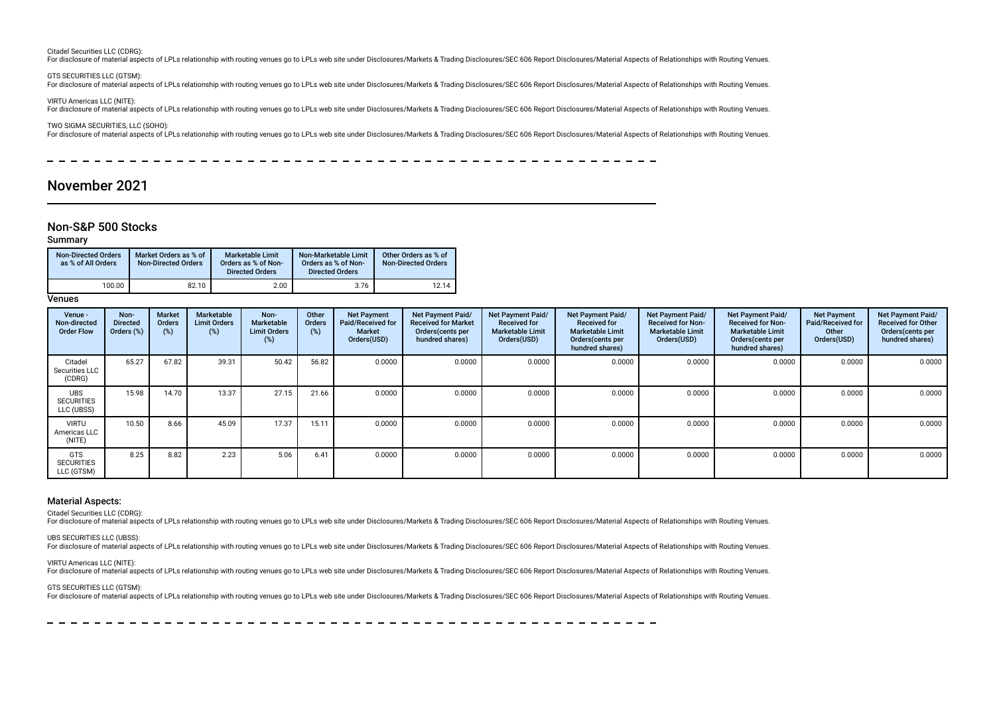#### Citadel Securities LLC (CDRG):

For disclosure of material aspects of LPLs relationship with routing venues go to LPLs web site under Disclosures/Markets & Trading Disclosures/SEC 606 Report Disclosures/Material Aspects of Relationships with Routing Venu

#### GTS SECURITIES LLC (GTSM):

For disclosure of material aspects of LPLs relationship with routing venues go to LPLs web site under Disclosures/Markets & Trading Disclosures/SEC 606 Report Disclosures/Material Aspects of Relationships with Routing Venu

VIRTU Americas LLC (NITE):

For disclosure of material aspects of LPLs relationship with routing venues go to LPLs web site under Disclosures/Markets & Trading Disclosures/SEC 606 Report Disclosures/Material Aspects of Relationships with Routing Venu

TWO SIGMA SECURITIES, LLC (SOHO):

For disclosure of material aspects of LPLs relationship with routing venues go to LPLs web site under Disclosures/Markets & Trading Disclosures/SEC 606 Report Disclosures/Material Aspects of Relationships with Routing Venu

 $\equiv$ 

# November 2021

### Non-S&P 500 Stocks

### Summary

| <b>Non-Directed Orders</b><br>as % of All Orders | Market Orders as % of<br><b>Non-Directed Orders</b> | <b>Marketable Limit</b><br>Orders as % of Non-<br><b>Directed Orders</b> | Non-Marketable Limit<br>Orders as % of Non-<br><b>Directed Orders</b> | Other Orders as % of<br><b>Non-Directed Orders</b> |
|--------------------------------------------------|-----------------------------------------------------|--------------------------------------------------------------------------|-----------------------------------------------------------------------|----------------------------------------------------|
| 100.00                                           | 82.10                                               | 2.00                                                                     | 3.76                                                                  | 12.14                                              |

**Venues** 

| Venue -<br>Non-directed<br><b>Order Flow</b>  | Non-<br><b>Directed</b><br>Orders (%) | <b>Market</b><br><b>Orders</b><br>(%) | Marketable<br><b>Limit Orders</b><br>(%) | Non-<br><b>Marketable</b><br><b>Limit Orders</b><br>(%) | Other<br><b>Orders</b><br>(%) | <b>Net Payment</b><br>Paid/Received for<br><b>Market</b><br>Orders(USD) | <b>Net Payment Paid/</b><br><b>Received for Market</b><br>Orders (cents per<br>hundred shares) | Net Payment Paid/<br><b>Received for</b><br><b>Marketable Limit</b><br>Orders(USD) | Net Payment Paid/<br><b>Received for</b><br><b>Marketable Limit</b><br>Orders (cents per<br>hundred shares) | Net Payment Paid/<br><b>Received for Non-</b><br><b>Marketable Limit</b><br>Orders(USD) | Net Payment Paid/<br><b>Received for Non-</b><br><b>Marketable Limit</b><br>Orders (cents per<br>hundred shares) | <b>Net Payment</b><br>Paid/Received for<br>Other<br>Orders(USD) | Net Payment Paid/<br><b>Received for Other</b><br>Orders(cents per<br>hundred shares) |
|-----------------------------------------------|---------------------------------------|---------------------------------------|------------------------------------------|---------------------------------------------------------|-------------------------------|-------------------------------------------------------------------------|------------------------------------------------------------------------------------------------|------------------------------------------------------------------------------------|-------------------------------------------------------------------------------------------------------------|-----------------------------------------------------------------------------------------|------------------------------------------------------------------------------------------------------------------|-----------------------------------------------------------------|---------------------------------------------------------------------------------------|
| Citadel<br>Securities LLC<br>(CDRG)           | 65.27                                 | 67.82                                 | 39.31                                    | 50.42                                                   | 56.82                         | 0.0000                                                                  | 0.0000                                                                                         | 0.0000                                                                             | 0.0000                                                                                                      | 0.0000                                                                                  | 0.0000                                                                                                           | 0.0000                                                          | 0.0000                                                                                |
| <b>UBS</b><br><b>SECURITIES</b><br>LLC (UBSS) | 15.98                                 | 14.70                                 | 13.37                                    | 27.15                                                   | 21.66                         | 0.0000                                                                  | 0.0000                                                                                         | 0.0000                                                                             | 0.0000                                                                                                      | 0.0000                                                                                  | 0.0000                                                                                                           | 0.0000                                                          | 0.0000                                                                                |
| <b>VIRTU</b><br>Americas LLC<br>(NITE)        | 10.50                                 | 8.66                                  | 45.09                                    | 17.37                                                   | 15.11                         | 0.0000                                                                  | 0.0000                                                                                         | 0.0000                                                                             | 0.0000                                                                                                      | 0.0000                                                                                  | 0.0000                                                                                                           | 0.0000                                                          | 0.0000                                                                                |
| GTS<br><b>SECURITIES</b><br>LLC (GTSM)        | 8.25                                  | 8.82                                  | 2.23                                     | 5.06                                                    | 6.41                          | 0.0000                                                                  | 0.0000                                                                                         | 0.0000                                                                             | 0.0000                                                                                                      | 0.0000                                                                                  | 0.0000                                                                                                           | 0.0000                                                          | 0.0000                                                                                |

### Material Aspects:

Citadel Securities LLC (CDRG):

For disclosure of material aspects of LPLs relationship with routing venues go to LPLs web site under Disclosures/Markets & Trading Disclosures/SEC 606 Report Disclosures/Material Aspects of Relationships with Routing Venu

UBS SECURITIES LLC (UBSS):

For disclosure of material aspects of LPLs relationship with routing venues go to LPLs web site under Disclosures/Markets & Trading Disclosures/SEC 606 Report Disclosures/Material Aspects of Relationships with Routing Venu

#### VIRTU Americas LLC (NITE):

For disclosure of material aspects of LPLs relationship with routing venues go to LPLs web site under Disclosures/Markets & Trading Disclosures/SEC 606 Report Disclosures/Material Aspects of Relationships with Routing Venu

GTS SECURITIES LLC (GTSM):

For disclosure of material aspects of LPLs relationship with routing venues go to LPLs web site under Disclosures/Markets & Trading Disclosures/SEC 606 Report Disclosures/Material Aspects of Relationships with Routing Venu

-------------------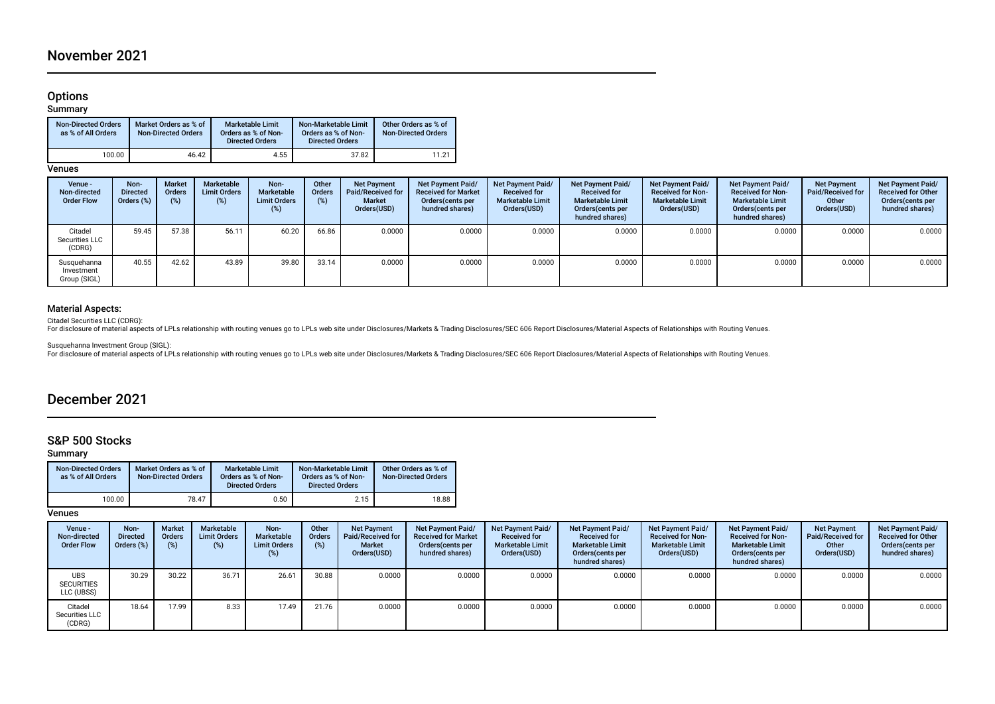# Options

### Summary

| <b>Non-Directed Orders</b><br>as % of All Orders | Market Orders as % of<br><b>Non-Directed Orders</b> | <b>Marketable Limit</b><br>Orders as % of Non-<br><b>Directed Orders</b> | Non-Marketable Limit<br>Orders as % of Non-<br><b>Directed Orders</b> | Other Orders as % of<br><b>Non-Directed Orders</b> |
|--------------------------------------------------|-----------------------------------------------------|--------------------------------------------------------------------------|-----------------------------------------------------------------------|----------------------------------------------------|
| 100.00                                           | 46.42                                               | 4.55                                                                     | 37.82                                                                 | 11.21                                              |

**Venues** 

| Venue -<br>Non-directed<br><b>Order Flow</b> | Non-<br><b>Directed</b><br>Orders $(\%)$ | <b>Market</b><br>Orders<br>(%) | Marketable<br><b>Limit Orders</b><br>(%) | Non-<br>Marketable<br><b>Limit Orders</b> | Other<br>Orders<br>(%) | <b>Net Payment</b><br>Paid/Received for<br><b>Market</b><br>Orders(USD) | <b>Net Payment Paid/</b><br><b>Received for Market</b><br>Orders(cents per<br>hundred shares) | Net Payment Paid/<br><b>Received for</b><br><b>Marketable Limit</b><br>Orders(USD) | <b>Net Payment Paid/</b><br><b>Received for</b><br><b>Marketable Limit</b><br>Orders (cents per<br>hundred shares) | <b>Net Payment Paid/</b><br><b>Received for Non-</b><br><b>Marketable Limit</b><br>Orders(USD) | Net Payment Paid/<br><b>Received for Non-</b><br><b>Marketable Limit</b><br>Orders (cents per<br>hundred shares) | <b>Net Payment</b><br>Paid/Received for<br>Other<br>Orders(USD) | Net Payment Paid/<br><b>Received for Other</b><br>Orders(cents per<br>hundred shares) |
|----------------------------------------------|------------------------------------------|--------------------------------|------------------------------------------|-------------------------------------------|------------------------|-------------------------------------------------------------------------|-----------------------------------------------------------------------------------------------|------------------------------------------------------------------------------------|--------------------------------------------------------------------------------------------------------------------|------------------------------------------------------------------------------------------------|------------------------------------------------------------------------------------------------------------------|-----------------------------------------------------------------|---------------------------------------------------------------------------------------|
| Citadel<br>Securities LLC<br>(CDRG)          | 59.45                                    | 57.38                          | 56.11                                    | 60.20                                     | 66.86                  | 0.0000                                                                  | 0.0000                                                                                        | 0.0000                                                                             | 0.0000                                                                                                             | 0.0000                                                                                         | 0.0000                                                                                                           | 0.0000                                                          | 0.0000                                                                                |
| Susquehanna<br>Investment<br>Group (SIGL)    | 40.55                                    | 42.62                          | 43.89                                    | 39.80                                     | 33.14                  | 0.0000                                                                  | 0.0000                                                                                        | 0.0000                                                                             | 0.0000                                                                                                             | 0.0000                                                                                         | 0.0000                                                                                                           | 0.0000                                                          | 0.0000                                                                                |

## Material Aspects:

Citadel Securities LLC (CDRG):<br>For disclosure of material aspects of LPLs relationship with routing venues go to LPLs web site under Disclosures/Markets & Trading Disclosures/SEC 606 Report Disclosures/Material Aspects of

Susquehanna Investment Group (SIGL):<br>For disclosure of material aspects of LPLs relationship with routing venues go to LPLs web site under Disclosures/Markets & Trading Disclosures/SEC 606 Report Disclosures/Material Aspec

# December 2021

# S&P 500 Stocks

Summary

| <b>Non-Directed Orders</b><br>as % of All Orders | Market Orders as % of<br><b>Non-Directed Orders</b> | <b>Marketable Limit</b><br>Orders as % of Non-<br><b>Directed Orders</b> | Non-Marketable Limit<br>Orders as % of Non-<br><b>Directed Orders</b> | Other Orders as % of<br><b>Non-Directed Orders</b> |  |
|--------------------------------------------------|-----------------------------------------------------|--------------------------------------------------------------------------|-----------------------------------------------------------------------|----------------------------------------------------|--|
| 100.00                                           | 78.47                                               | 0.50                                                                     | 2.15                                                                  | 18.88                                              |  |

| Venue -<br>Non-directed<br><b>Order Flow</b>  | Non-<br><b>Directed</b><br>Orders (%) | <b>Market</b><br><b>Orders</b><br>(%) | Marketable<br><b>Limit Orders</b><br>(%) | Non-<br>Marketable<br><b>Limit Orders</b><br>(%) | Other<br><b>Orders</b><br>(%) | <b>Net Payment</b><br>Paid/Received for<br><b>Market</b><br>Orders(USD) | Net Payment Paid/<br><b>Received for Market</b><br>Orders(cents per<br>hundred shares) | <b>Net Payment Paid/</b><br><b>Received for</b><br><b>Marketable Limit</b><br>Orders(USD) | Net Payment Paid/<br><b>Received for</b><br><b>Marketable Limit</b><br>Orders (cents per<br>hundred shares) | Net Payment Paid/<br><b>Received for Non-</b><br><b>Marketable Limit</b><br>Orders(USD) | Net Payment Paid/<br><b>Received for Non-</b><br><b>Marketable Limit</b><br>Orders (cents per<br>hundred shares) | <b>Net Payment</b><br>Paid/Received for<br>Other<br>Orders(USD) | Net Payment Paid/<br><b>Received for Other</b><br>Orders (cents per<br>hundred shares) |
|-----------------------------------------------|---------------------------------------|---------------------------------------|------------------------------------------|--------------------------------------------------|-------------------------------|-------------------------------------------------------------------------|----------------------------------------------------------------------------------------|-------------------------------------------------------------------------------------------|-------------------------------------------------------------------------------------------------------------|-----------------------------------------------------------------------------------------|------------------------------------------------------------------------------------------------------------------|-----------------------------------------------------------------|----------------------------------------------------------------------------------------|
| <b>UBS</b><br><b>SECURITIES</b><br>LLC (UBSS) | 30.29                                 | 30.22                                 | 36.71                                    | 26.61                                            | 30.88                         | 0.0000                                                                  | 0.0000                                                                                 | 0.0000                                                                                    | 0.0000                                                                                                      | 0.0000                                                                                  | 0.0000                                                                                                           | 0.0000                                                          | 0.0000                                                                                 |
| Citadel<br>Securities LLC<br>(CDRG)           | 18.64                                 | 17.99                                 | 8.33                                     | 17.49                                            | 21.76                         | 0.0000                                                                  | 0.0000                                                                                 | 0.0000                                                                                    | 0.0000                                                                                                      | 0.0000                                                                                  | 0.0000                                                                                                           | 0.0000                                                          | 0.0000                                                                                 |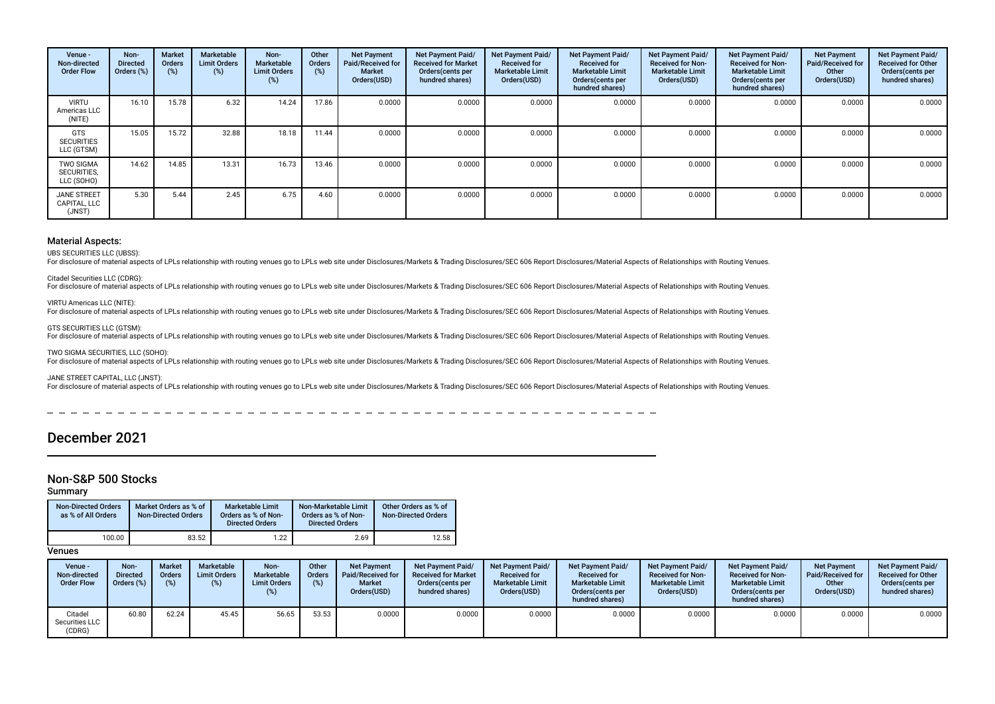| Venue -<br>Non-directed<br><b>Order Flow</b>  | Non-<br><b>Directed</b><br>Orders (%) | <b>Market</b><br><b>Orders</b><br>(%) | Marketable<br><b>Limit Orders</b><br>(%) | Non-<br>Marketable<br><b>Limit Orders</b><br>(%) | Other<br><b>Orders</b><br>(%) | <b>Net Payment</b><br>Paid/Received for<br>Market<br>Orders(USD) | <b>Net Payment Paid/</b><br><b>Received for Market</b><br>Orders(cents per<br>hundred shares) | <b>Net Payment Paid/</b><br><b>Received for</b><br><b>Marketable Limit</b><br>Orders(USD) | Net Payment Paid/<br><b>Received for</b><br><b>Marketable Limit</b><br>Orders (cents per<br>hundred shares) | <b>Net Payment Paid/</b><br><b>Received for Non-</b><br><b>Marketable Limit</b><br>Orders(USD) | Net Payment Paid/<br><b>Received for Non-</b><br><b>Marketable Limit</b><br>Orders(cents per<br>hundred shares) | <b>Net Payment</b><br>Paid/Received for<br>Other<br>Orders(USD) | Net Payment Paid/<br><b>Received for Other</b><br>Orders (cents per<br>hundred shares) |
|-----------------------------------------------|---------------------------------------|---------------------------------------|------------------------------------------|--------------------------------------------------|-------------------------------|------------------------------------------------------------------|-----------------------------------------------------------------------------------------------|-------------------------------------------------------------------------------------------|-------------------------------------------------------------------------------------------------------------|------------------------------------------------------------------------------------------------|-----------------------------------------------------------------------------------------------------------------|-----------------------------------------------------------------|----------------------------------------------------------------------------------------|
| <b>VIRTU</b><br>Americas LLC<br>(NITE)        | 16.10                                 | 15.78                                 | 6.32                                     | 14.24                                            | 17.86                         | 0.0000                                                           | 0.0000                                                                                        | 0.0000                                                                                    | 0.0000                                                                                                      | 0.0000                                                                                         | 0.0000                                                                                                          | 0.0000                                                          | 0.0000                                                                                 |
| <b>GTS</b><br><b>SECURITIES</b><br>LLC (GTSM) | 15.05                                 | 15.72                                 | 32.88                                    | 18.18                                            | 11.44                         | 0.0000                                                           | 0.0000                                                                                        | 0.0000                                                                                    | 0.0000                                                                                                      | 0.0000                                                                                         | 0.0000                                                                                                          | 0.0000                                                          | 0.0000                                                                                 |
| <b>TWO SIGMA</b><br>SECURITIES,<br>LLC (SOHO) | 14.62                                 | 14.85                                 | 13.31                                    | 16.73                                            | 13.46                         | 0.0000                                                           | 0.0000                                                                                        | 0.0000                                                                                    | 0.0000                                                                                                      | 0.0000                                                                                         | 0.0000                                                                                                          | 0.0000                                                          | 0.0000                                                                                 |
| <b>JANE STREET</b><br>CAPITAL, LLC<br>(JNST)  | 5.30                                  | 5.44                                  | 2.45                                     | 6.75                                             | 4.60                          | 0.0000                                                           | 0.0000                                                                                        | 0.0000                                                                                    | 0.0000                                                                                                      | 0.0000                                                                                         | 0.0000                                                                                                          | 0.0000                                                          | 0.0000                                                                                 |

UBS SECURITIES LLC (UBSS):

For disclosure of material aspects of LPLs relationship with routing venues go to LPLs web site under Disclosures/Markets & Trading Disclosures/SEC 606 Report Disclosures/Material Aspects of Relationships with Routing Venu

#### Citadel Securities LLC (CDRG):

For disclosure of material aspects of LPLs relationship with routing venues go to LPLs web site under Disclosures/Markets & Trading Disclosures/SEC 606 Report Disclosures/Material Aspects of Relationships with Routing Venu

### VIRTU Americas LLC (NITE):

For disclosure of material aspects of LPLs relationship with routing venues go to LPLs web site under Disclosures/Markets & Trading Disclosures/SEC 606 Report Disclosures/Material Aspects of Relationships with Routing Venu

#### GTS SECURITIES LLC (GTSM):

For disclosure of material aspects of LPLs relationship with routing venues go to LPLs web site under Disclosures/Markets & Trading Disclosures/SEC 606 Report Disclosures/Material Aspects of Relationships with Routing Venu

#### TWO SIGMA SECURITIES, LLC (SOHO):

For disclosure of material aspects of LPLs relationship with routing venues go to LPLs web site under Disclosures/Markets & Trading Disclosures/SEC 606 Report Disclosures/Material Aspects of Relationships with Routing Venu

#### JANE STREET CAPITAL, LLC (JNST):

For disclosure of material aspects of LPLs relationship with routing venues go to LPLs web site under Disclosures/Markets & Trading Disclosures/SEC 606 Report Disclosures/Material Aspects of Relationships with Routing Venu

# December 2021

# Non-S&P 500 Stocks

### Summary

| <b>Non-Directed Orders</b><br>as % of All Orders | Market Orders as % of<br><b>Non-Directed Orders</b> | Marketable Limit<br>Orders as % of Non-<br><b>Directed Orders</b> | Non-Marketable Limit<br>Orders as % of Non-<br><b>Directed Orders</b> | Other Orders as % of<br><b>Non-Directed Orders</b> |
|--------------------------------------------------|-----------------------------------------------------|-------------------------------------------------------------------|-----------------------------------------------------------------------|----------------------------------------------------|
| 100.00                                           | 83.52                                               | 1.22                                                              | 2.69                                                                  | 12.58                                              |

| Venue -<br>Non-directed<br><b>Order Flow</b> | Non-<br><b>Directed</b><br>$7$ rders $(\%)$ | <b>Market</b><br>Orders<br>(%) | <b>Marketable</b><br><b>Limit Orders</b><br>$(\%)$ | Non-<br>Marketable<br><b>Limit Orders</b> | Other<br>Orders<br>(%) | <b>Net Payment</b><br>Paid/Received for<br><b>Market</b><br>Orders(USD) | <b>Net Payment Paid/</b><br><b>Received for Market</b><br>Orders (cents per<br>hundred shares) | <b>Net Payment Paid/</b><br><b>Received for</b><br><b>Marketable Limit</b><br>Orders(USD) | Net Payment Paid/<br><b>Received for</b><br><b>Marketable Limit</b><br>Orders (cents per<br>hundred shares) | <b>Net Payment Paid/</b><br><b>Received for Non-</b><br><b>Marketable Limit</b><br>Orders(USD) | <b>Net Payment Paid/</b><br><b>Received for Non-</b><br><b>Marketable Limit</b><br>Orders(cents per<br>hundred shares) | <b>Net Payment</b><br>Paid/Received for<br>Other<br>Orders(USD) | <b>Net Payment Paid/</b><br><b>Received for Other</b><br>Orders (cents per<br>hundred shares) |
|----------------------------------------------|---------------------------------------------|--------------------------------|----------------------------------------------------|-------------------------------------------|------------------------|-------------------------------------------------------------------------|------------------------------------------------------------------------------------------------|-------------------------------------------------------------------------------------------|-------------------------------------------------------------------------------------------------------------|------------------------------------------------------------------------------------------------|------------------------------------------------------------------------------------------------------------------------|-----------------------------------------------------------------|-----------------------------------------------------------------------------------------------|
| Citadel<br>Securities LLC<br>(CDRG)          | 60.80                                       | 62.24                          | 45.45                                              | 56.65                                     | 53.53                  | 0.0000                                                                  | 0.0000                                                                                         | 0.0000                                                                                    | 0.0000                                                                                                      | 0.0000                                                                                         | 0.0000                                                                                                                 | 0.0000                                                          | 0.0000                                                                                        |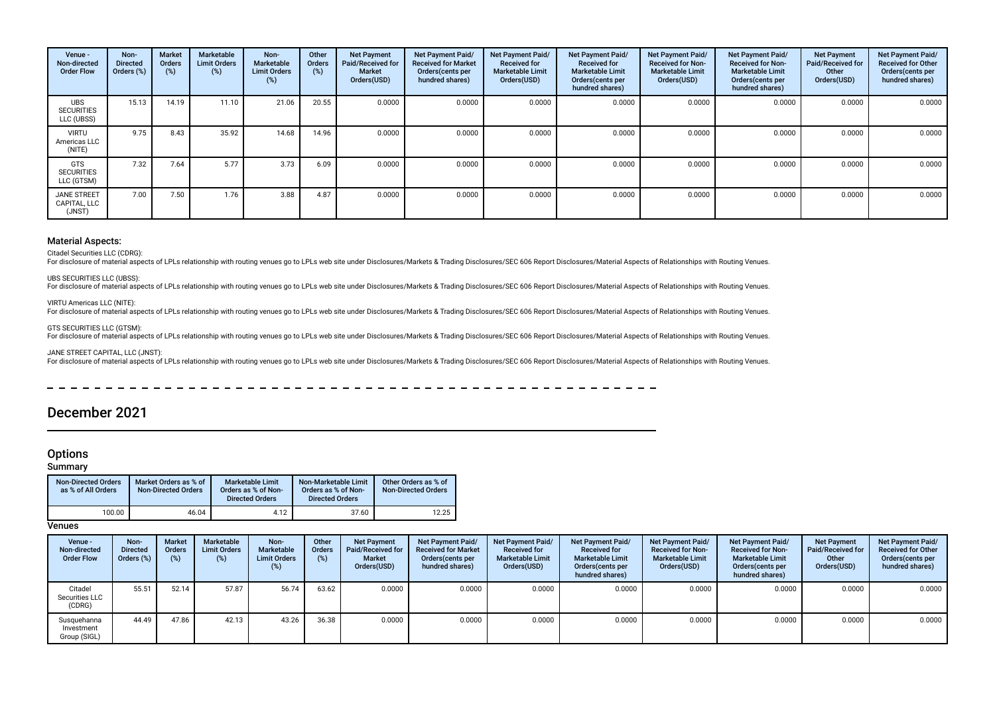| Venue -<br>Non-directed<br><b>Order Flow</b>  | Non-<br><b>Directed</b><br>Orders (%) | <b>Market</b><br><b>Orders</b><br>(%) | Marketable<br><b>Limit Orders</b><br>$(\%)$ | Non-<br>Marketable<br><b>Limit Orders</b><br>(%) | Other<br>Orders<br>(%) | <b>Net Payment</b><br>Paid/Received for<br><b>Market</b><br>Orders(USD) | Net Payment Paid/<br><b>Received for Market</b><br>Orders (cents per<br>hundred shares) | Net Payment Paid/<br><b>Received for</b><br><b>Marketable Limit</b><br>Orders(USD) | <b>Net Payment Paid/</b><br><b>Received for</b><br><b>Marketable Limit</b><br>Orders (cents per<br>hundred shares) | <b>Net Payment Paid/</b><br><b>Received for Non-</b><br><b>Marketable Limit</b><br>Orders(USD) | <b>Net Payment Paid/</b><br><b>Received for Non-</b><br><b>Marketable Limit</b><br>Orders(cents per<br>hundred shares) | <b>Net Payment</b><br>Paid/Received for<br>Other<br>Orders(USD) | Net Payment Paid/<br><b>Received for Other</b><br>Orders (cents per<br>hundred shares) |
|-----------------------------------------------|---------------------------------------|---------------------------------------|---------------------------------------------|--------------------------------------------------|------------------------|-------------------------------------------------------------------------|-----------------------------------------------------------------------------------------|------------------------------------------------------------------------------------|--------------------------------------------------------------------------------------------------------------------|------------------------------------------------------------------------------------------------|------------------------------------------------------------------------------------------------------------------------|-----------------------------------------------------------------|----------------------------------------------------------------------------------------|
| <b>UBS</b><br><b>SECURITIES</b><br>LLC (UBSS) | 15.13                                 | 14.19                                 | 11.10                                       | 21.06                                            | 20.55                  | 0.0000                                                                  | 0.0000                                                                                  | 0.0000                                                                             | 0.0000                                                                                                             | 0.0000                                                                                         | 0.0000                                                                                                                 | 0.0000                                                          | 0.0000                                                                                 |
| <b>VIRTU</b><br>Americas LLC<br>(NITE)        | 9.75                                  | 8.43                                  | 35.92                                       | 14.68                                            | 14.96                  | 0.0000                                                                  | 0.0000                                                                                  | 0.0000                                                                             | 0.0000                                                                                                             | 0.0000                                                                                         | 0.0000                                                                                                                 | 0.0000                                                          | 0.0000                                                                                 |
| GTS<br><b>SECURITIES</b><br>LLC (GTSM)        | 7.32                                  | 7.64                                  | 5.77                                        | 3.73                                             | 6.09                   | 0.0000                                                                  | 0.0000                                                                                  | 0.0000                                                                             | 0.0000                                                                                                             | 0.0000                                                                                         | 0.0000                                                                                                                 | 0.0000                                                          | 0.0000                                                                                 |
| <b>JANE STREET</b><br>CAPITAL, LLC<br>(JNST)  | 7.00                                  | 7.50                                  | 1.76                                        | 3.88                                             | 4.87                   | 0.0000                                                                  | 0.0000                                                                                  | 0.0000                                                                             | 0.0000                                                                                                             | 0.0000                                                                                         | 0.0000                                                                                                                 | 0.0000                                                          | 0.0000                                                                                 |

Citadel Securities LLC (CDRG):

For disclosure of material aspects of LPLs relationship with routing venues go to LPLs web site under Disclosures/Markets & Trading Disclosures/SEC 606 Report Disclosures/Material Aspects of Relationships with Routing Venu

#### UBS SECURITIES LLC (UBSS):

For disclosure of material aspects of LPLs relationship with routing venues go to LPLs web site under Disclosures/Markets & Trading Disclosures/SEC 606 Report Disclosures/Material Aspects of Relationships with Routing Venu

### VIRTU Americas LLC (NITE):

For disclosure of material aspects of LPLs relationship with routing venues go to LPLs web site under Disclosures/Markets & Trading Disclosures/SEC 606 Report Disclosures/Material Aspects of Relationships with Routing Venu

### GTS SECURITIES LLC (GTSM):

For disclosure of material aspects of LPLs relationship with routing venues go to LPLs web site under Disclosures/Markets & Trading Disclosures/SEC 606 Report Disclosures/Material Aspects of Relationships with Routing Venu

### JANE STREET CAPITAL, LLC (JNST):

For disclosure of material aspects of LPLs relationship with routing venues go to LPLs web site under Disclosures/Markets & Trading Disclosures/SEC 606 Report Disclosures/Material Aspects of Relationships with Routing Venu

L.  $\overline{a}$  $\overline{\phantom{0}}$  $\frac{1}{2}$ 

# December 2021

## **Options**

## Summary

| <b>Non-Directed Orders</b><br>as % of All Orders | Market Orders as % of<br><b>Non-Directed Orders</b> | <b>Marketable Limit</b><br>Orders as % of Non-<br><b>Directed Orders</b> | Non-Marketable Limit<br>Orders as % of Non-<br><b>Directed Orders</b> | Other Orders as % of<br><b>Non-Directed Orders</b> |
|--------------------------------------------------|-----------------------------------------------------|--------------------------------------------------------------------------|-----------------------------------------------------------------------|----------------------------------------------------|
| 100.00                                           | 46.04                                               | 4.12                                                                     | 37.60                                                                 | 12.25                                              |

| Venue -<br>Non-directed<br><b>Order Flow</b> | Non-<br><b>Directed</b><br>Orders (%) | <b>Market</b><br><b>Orders</b><br>(% | Marketable<br><b>Limit Orders</b><br>(%) | Non-<br>Marketable<br><b>Limit Orders</b><br>$(\%)$ | Other<br><b>Orders</b> | <b>Net Payment</b><br><b>Paid/Received for</b><br><b>Market</b><br>Orders(USD) | Net Payment Paid/<br><b>Received for Market</b><br>Orders (cents per<br>hundred shares) | Net Payment Paid/<br><b>Received for</b><br><b>Marketable Limit</b><br>Orders(USD) | <b>Net Payment Paid/</b><br><b>Received for</b><br><b>Marketable Limit</b><br>Orders (cents per<br>hundred shares) | Net Payment Paid/<br><b>Received for Non-</b><br><b>Marketable Limit</b><br>Orders(USD) | <b>Net Payment Paid/</b><br><b>Received for Non-</b><br><b>Marketable Limit</b><br>Orders(cents per<br>hundred shares) | <b>Net Payment</b><br><b>Paid/Received for</b><br>Other<br>Orders(USD) | Net Payment Paid/<br><b>Received for Other</b><br>Orders (cents per<br>hundred shares) |
|----------------------------------------------|---------------------------------------|--------------------------------------|------------------------------------------|-----------------------------------------------------|------------------------|--------------------------------------------------------------------------------|-----------------------------------------------------------------------------------------|------------------------------------------------------------------------------------|--------------------------------------------------------------------------------------------------------------------|-----------------------------------------------------------------------------------------|------------------------------------------------------------------------------------------------------------------------|------------------------------------------------------------------------|----------------------------------------------------------------------------------------|
| Citadel<br>Securities LLC<br>(CDRG)          | 55.51                                 | 52.14                                | 57.87                                    | 56.74                                               | 63.62                  | 0.0000                                                                         | 0.0000                                                                                  | 0.0000                                                                             | 0.0000                                                                                                             | 0.0000                                                                                  | 0.0000                                                                                                                 | 0.0000                                                                 | 0.0000                                                                                 |
| Susquehanna<br>Investment<br>Group (SIGL)    | 44.49                                 | 47.86                                | 42.13                                    | 43.26                                               | 36.38                  | 0.0000                                                                         | 0.0000                                                                                  | 0.0000                                                                             | 0.0000                                                                                                             | 0.0000                                                                                  | 0.0000                                                                                                                 | 0.0000                                                                 | 0.0000                                                                                 |